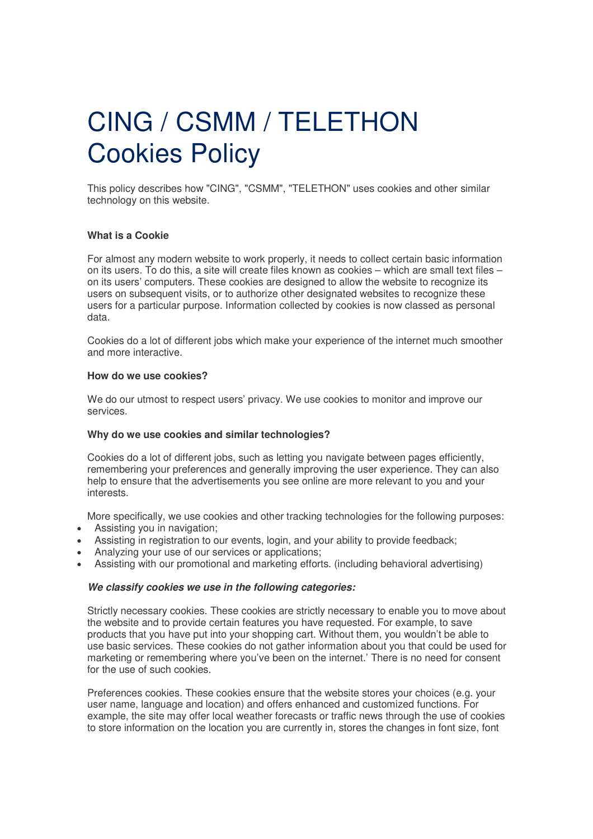# CING / CSMM / TELETHON Cookies Policy

This policy describes how "CING", "CSMM", "TELETHON" uses cookies and other similar technology on this website.

## **What is a Cookie**

For almost any modern website to work properly, it needs to collect certain basic information on its users. To do this, a site will create files known as cookies – which are small text files – on its users' computers. These cookies are designed to allow the website to recognize its users on subsequent visits, or to authorize other designated websites to recognize these users for a particular purpose. Information collected by cookies is now classed as personal data.

Cookies do a lot of different jobs which make your experience of the internet much smoother and more interactive.

### **How do we use cookies?**

We do our utmost to respect users' privacy. We use cookies to monitor and improve our services.

## **Why do we use cookies and similar technologies?**

Cookies do a lot of different jobs, such as letting you navigate between pages efficiently, remembering your preferences and generally improving the user experience. They can also help to ensure that the advertisements you see online are more relevant to you and your interests.

More specifically, we use cookies and other tracking technologies for the following purposes:

- Assisting you in navigation;
- Assisting in registration to our events, login, and your ability to provide feedback;
- Analyzing your use of our services or applications;
- Assisting with our promotional and marketing efforts. (including behavioral advertising)

### **We classify cookies we use in the following categories:**

Strictly necessary cookies. These cookies are strictly necessary to enable you to move about the website and to provide certain features you have requested. For example, to save products that you have put into your shopping cart. Without them, you wouldn't be able to use basic services. These cookies do not gather information about you that could be used for marketing or remembering where you've been on the internet.' There is no need for consent for the use of such cookies.

Preferences cookies. These cookies ensure that the website stores your choices (e.g. your user name, language and location) and offers enhanced and customized functions. For example, the site may offer local weather forecasts or traffic news through the use of cookies to store information on the location you are currently in, stores the changes in font size, font